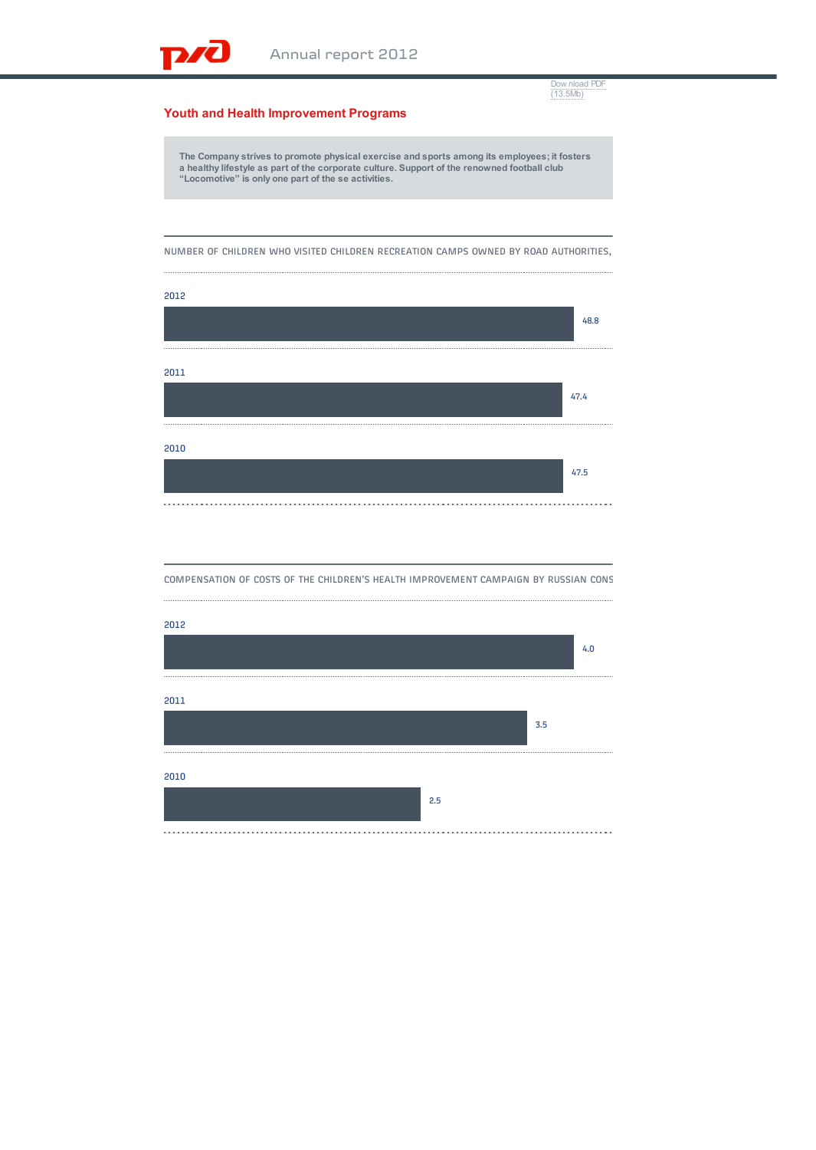[Dow nload PDF](http://ar2012.rzd.ru/upload/pdf/rzd_ar12_eng.pdf) (13.5Mb)

## **Youth and Health Improvement Programs**

**D** 

The Company strives to promote physical exercise and sports among its employees; it fosters<br>a healthy lifestyle as part of the corporate culture. Support of the renowned football club<br>"Locomotive" is only one part of the s

NUMBER OF CHILDREN WHO VISITED CHILDREN RECREATION CAMPS OWNED BY ROAD AUTHORITIES,



COMPENSATION OF COSTS OF THE CHILDREN'S HEALTH IMPROVEMENT CAMPAIGN BY RUSSIAN CONS